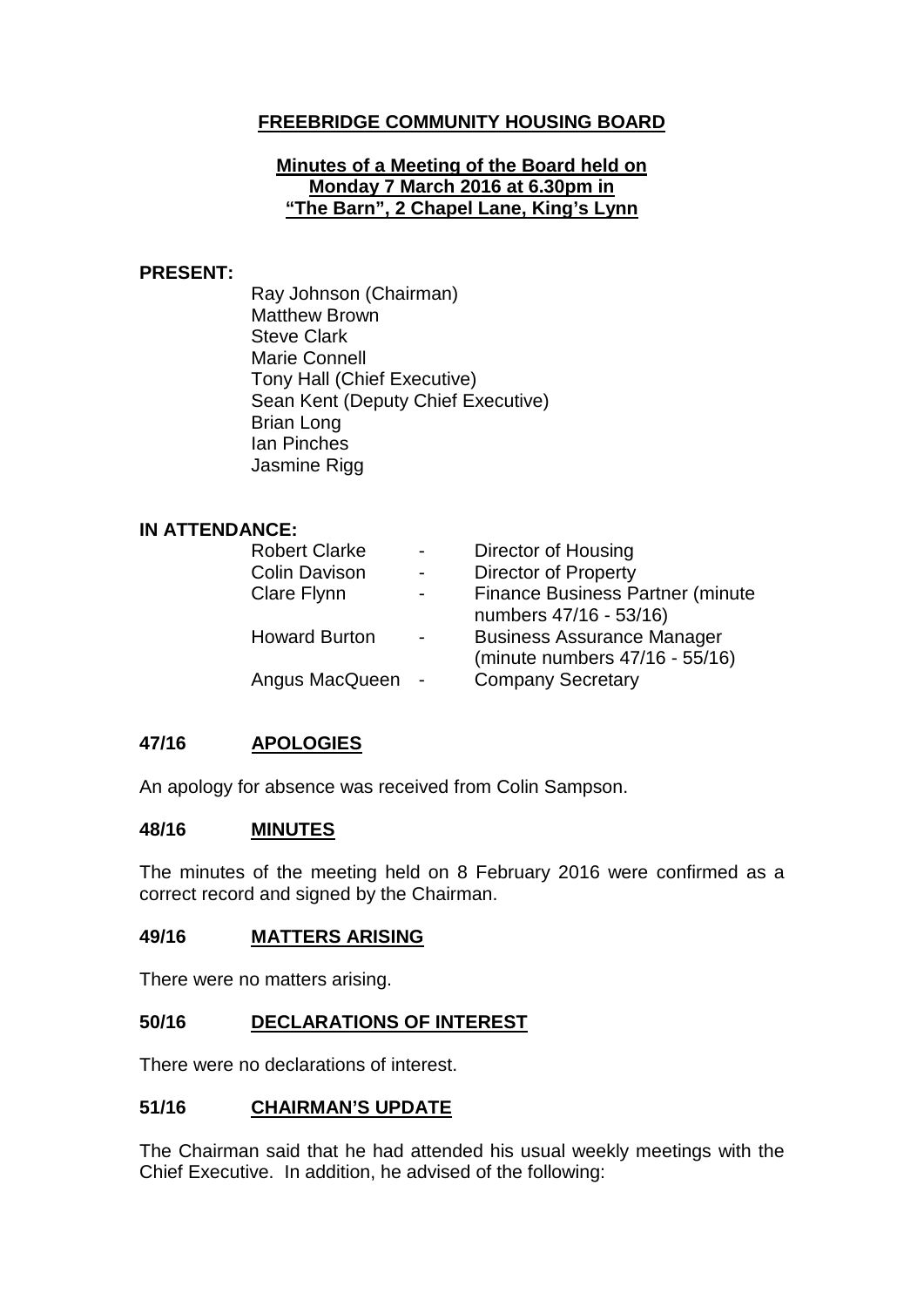# **FREEBRIDGE COMMUNITY HOUSING BOARD**

### **Minutes of a Meeting of the Board held on Monday 7 March 2016 at 6.30pm in "The Barn", 2 Chapel Lane, King's Lynn**

### **PRESENT:**

Ray Johnson (Chairman) Matthew Brown Steve Clark Marie Connell Tony Hall (Chief Executive) Sean Kent (Deputy Chief Executive) Brian Long Ian Pinches Jasmine Rigg

#### **IN ATTENDANCE:**

| <b>Robert Clarke</b> | $\sim$         | Director of Housing                     |
|----------------------|----------------|-----------------------------------------|
| <b>Colin Davison</b> | $\blacksquare$ | <b>Director of Property</b>             |
| Clare Flynn          | $\blacksquare$ | <b>Finance Business Partner (minute</b> |
|                      |                | numbers 47/16 - 53/16)                  |
| <b>Howard Burton</b> |                | <b>Business Assurance Manager</b>       |
|                      |                | (minute numbers 47/16 - 55/16)          |
| Angus MacQueen       |                | <b>Company Secretary</b>                |

# **47/16 APOLOGIES**

An apology for absence was received from Colin Sampson.

### **48/16 MINUTES**

The minutes of the meeting held on 8 February 2016 were confirmed as a correct record and signed by the Chairman.

#### **49/16 MATTERS ARISING**

There were no matters arising.

### **50/16 DECLARATIONS OF INTEREST**

There were no declarations of interest.

### **51/16 CHAIRMAN'S UPDATE**

The Chairman said that he had attended his usual weekly meetings with the Chief Executive. In addition, he advised of the following: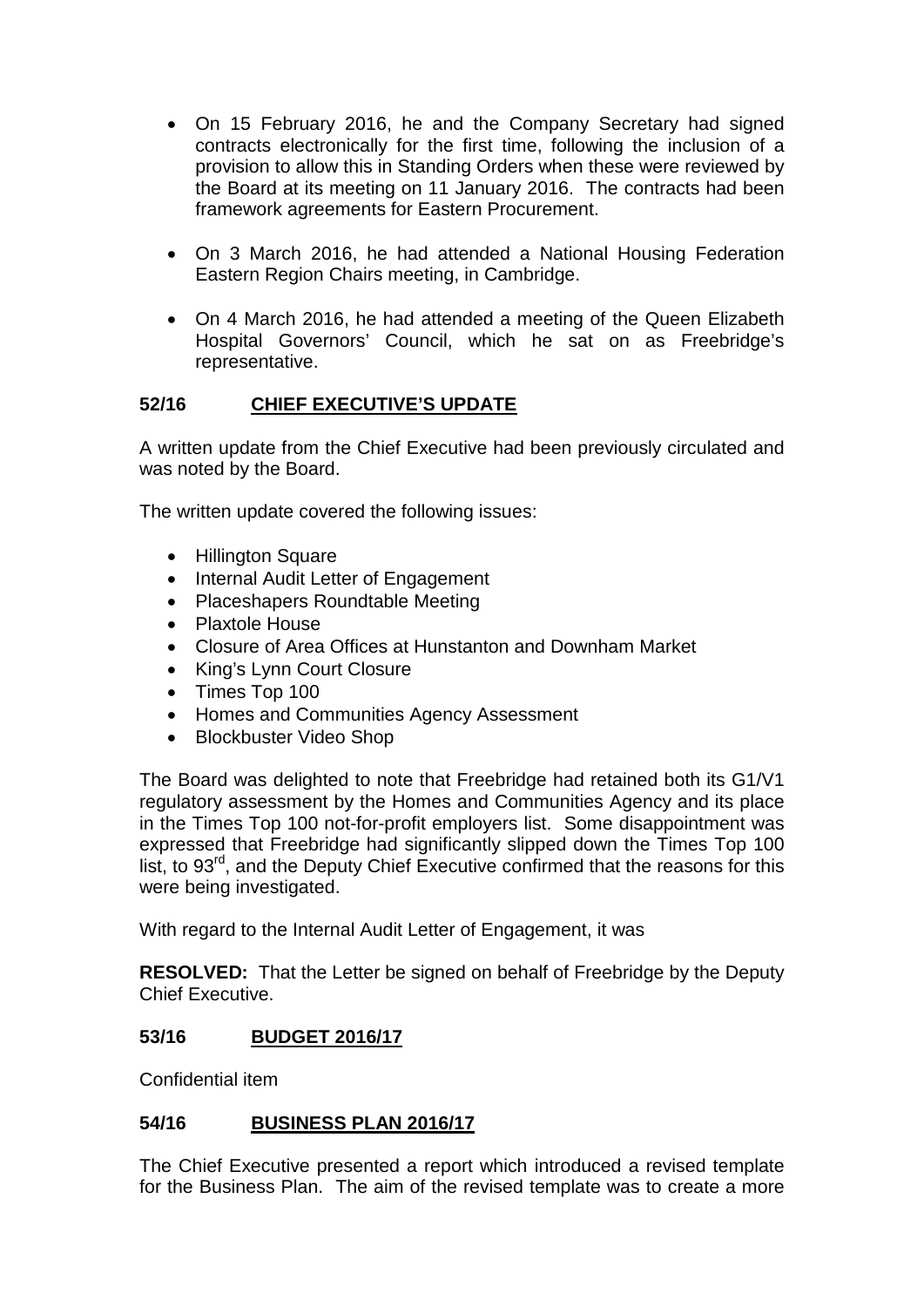- On 15 February 2016, he and the Company Secretary had signed contracts electronically for the first time, following the inclusion of a provision to allow this in Standing Orders when these were reviewed by the Board at its meeting on 11 January 2016. The contracts had been framework agreements for Eastern Procurement.
- On 3 March 2016, he had attended a National Housing Federation Eastern Region Chairs meeting, in Cambridge.
- On 4 March 2016, he had attended a meeting of the Queen Elizabeth Hospital Governors' Council, which he sat on as Freebridge's representative.

# **52/16 CHIEF EXECUTIVE'S UPDATE**

A written update from the Chief Executive had been previously circulated and was noted by the Board.

The written update covered the following issues:

- Hillington Square
- Internal Audit Letter of Engagement
- Placeshapers Roundtable Meeting
- Plaxtole House
- Closure of Area Offices at Hunstanton and Downham Market
- King's Lynn Court Closure
- Times Top 100
- Homes and Communities Agency Assessment
- Blockbuster Video Shop

The Board was delighted to note that Freebridge had retained both its G1/V1 regulatory assessment by the Homes and Communities Agency and its place in the Times Top 100 not-for-profit employers list. Some disappointment was expressed that Freebridge had significantly slipped down the Times Top 100 list, to 93rd, and the Deputy Chief Executive confirmed that the reasons for this were being investigated.

With regard to the Internal Audit Letter of Engagement, it was

**RESOLVED:** That the Letter be signed on behalf of Freebridge by the Deputy Chief Executive.

### **53/16 BUDGET 2016/17**

Confidential item

# **54/16 BUSINESS PLAN 2016/17**

The Chief Executive presented a report which introduced a revised template for the Business Plan. The aim of the revised template was to create a more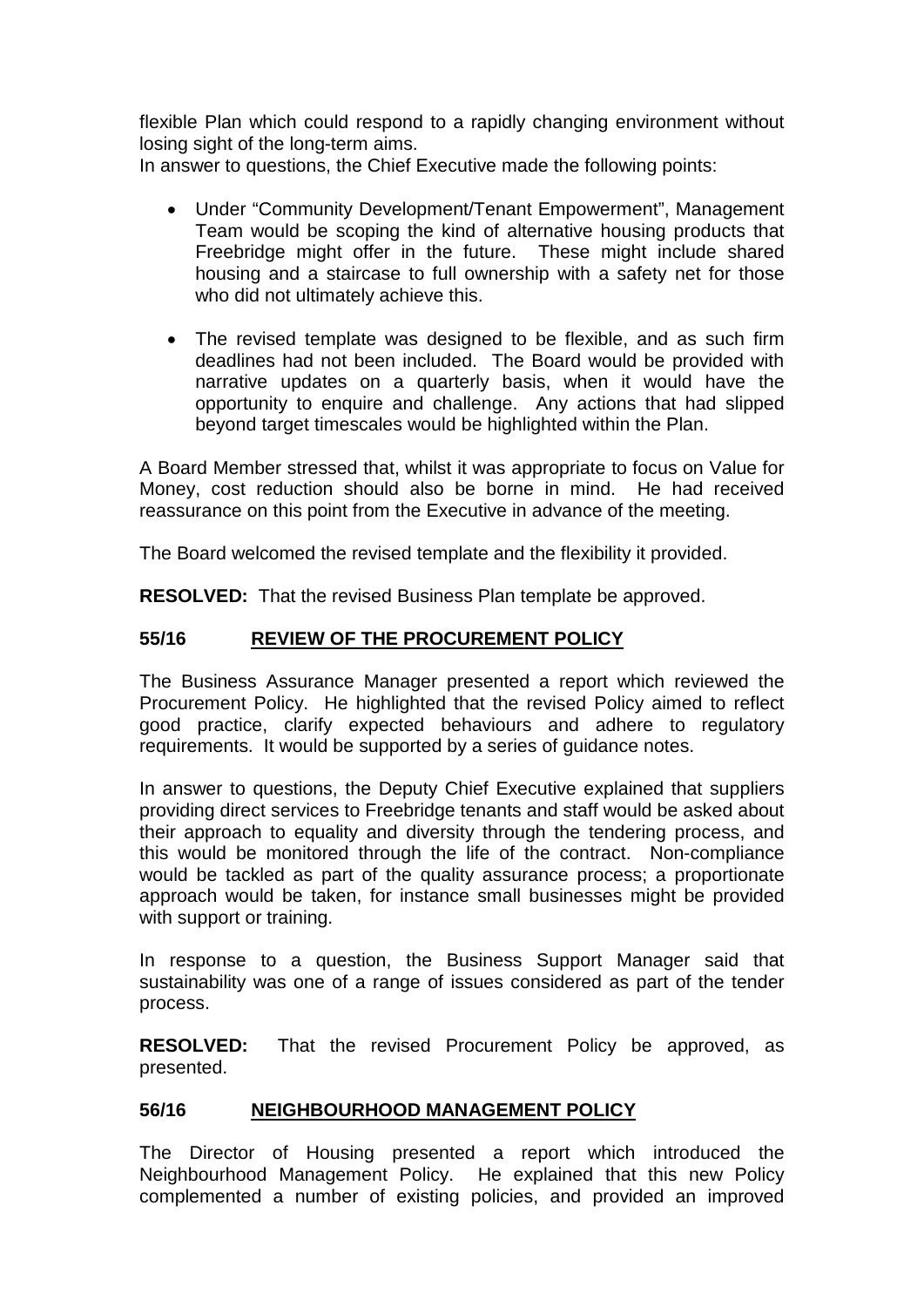flexible Plan which could respond to a rapidly changing environment without losing sight of the long-term aims.

In answer to questions, the Chief Executive made the following points:

- Under "Community Development/Tenant Empowerment", Management Team would be scoping the kind of alternative housing products that Freebridge might offer in the future. These might include shared housing and a staircase to full ownership with a safety net for those who did not ultimately achieve this.
- The revised template was designed to be flexible, and as such firm deadlines had not been included. The Board would be provided with narrative updates on a quarterly basis, when it would have the opportunity to enquire and challenge. Any actions that had slipped beyond target timescales would be highlighted within the Plan.

A Board Member stressed that, whilst it was appropriate to focus on Value for Money, cost reduction should also be borne in mind. He had received reassurance on this point from the Executive in advance of the meeting.

The Board welcomed the revised template and the flexibility it provided.

**RESOLVED:** That the revised Business Plan template be approved.

# **55/16 REVIEW OF THE PROCUREMENT POLICY**

The Business Assurance Manager presented a report which reviewed the Procurement Policy. He highlighted that the revised Policy aimed to reflect good practice, clarify expected behaviours and adhere to regulatory requirements. It would be supported by a series of guidance notes.

In answer to questions, the Deputy Chief Executive explained that suppliers providing direct services to Freebridge tenants and staff would be asked about their approach to equality and diversity through the tendering process, and this would be monitored through the life of the contract. Non-compliance would be tackled as part of the quality assurance process; a proportionate approach would be taken, for instance small businesses might be provided with support or training.

In response to a question, the Business Support Manager said that sustainability was one of a range of issues considered as part of the tender process.

**RESOLVED:** That the revised Procurement Policy be approved, as presented.

### **56/16 NEIGHBOURHOOD MANAGEMENT POLICY**

The Director of Housing presented a report which introduced the Neighbourhood Management Policy. He explained that this new Policy complemented a number of existing policies, and provided an improved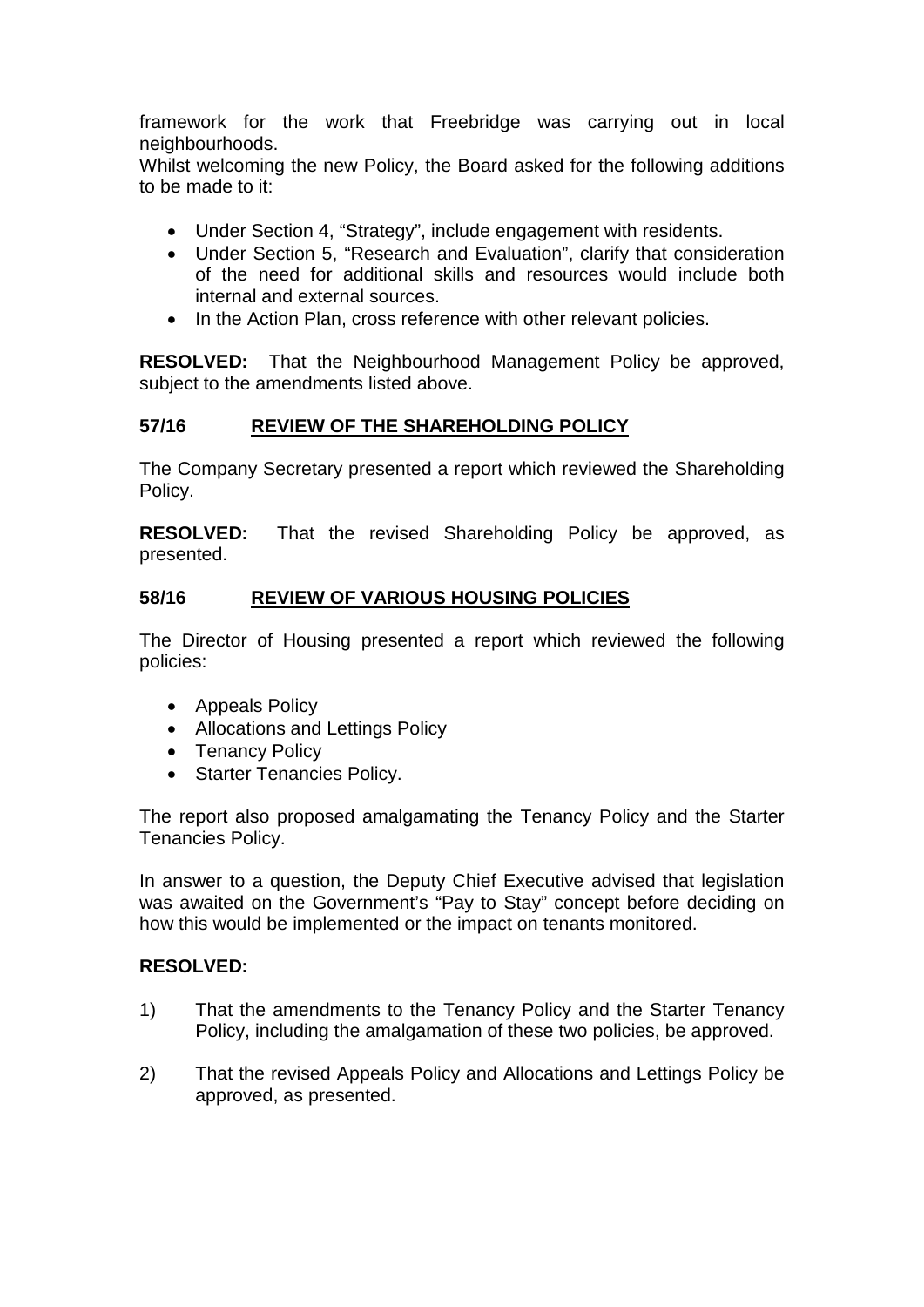framework for the work that Freebridge was carrying out in local neighbourhoods.

Whilst welcoming the new Policy, the Board asked for the following additions to be made to it:

- Under Section 4, "Strategy", include engagement with residents.
- Under Section 5, "Research and Evaluation", clarify that consideration of the need for additional skills and resources would include both internal and external sources.
- In the Action Plan, cross reference with other relevant policies.

**RESOLVED:** That the Neighbourhood Management Policy be approved, subject to the amendments listed above.

## **57/16 REVIEW OF THE SHAREHOLDING POLICY**

The Company Secretary presented a report which reviewed the Shareholding Policy.

**RESOLVED:** That the revised Shareholding Policy be approved, as presented.

## **58/16 REVIEW OF VARIOUS HOUSING POLICIES**

The Director of Housing presented a report which reviewed the following policies:

- Appeals Policy
- Allocations and Lettings Policy
- Tenancy Policy
- Starter Tenancies Policy.

The report also proposed amalgamating the Tenancy Policy and the Starter Tenancies Policy.

In answer to a question, the Deputy Chief Executive advised that legislation was awaited on the Government's "Pay to Stay" concept before deciding on how this would be implemented or the impact on tenants monitored.

### **RESOLVED:**

- 1) That the amendments to the Tenancy Policy and the Starter Tenancy Policy, including the amalgamation of these two policies, be approved.
- 2) That the revised Appeals Policy and Allocations and Lettings Policy be approved, as presented.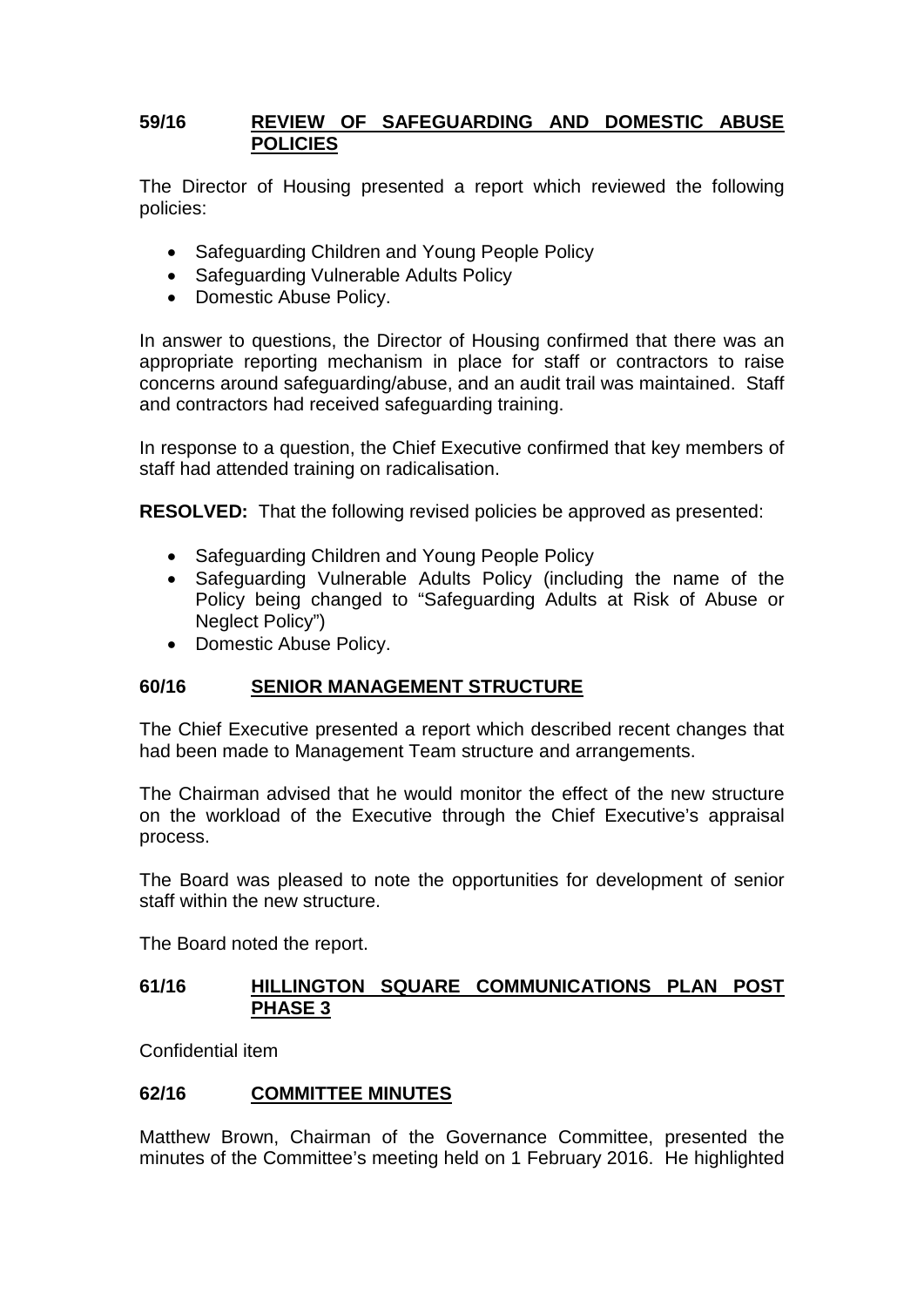### **59/16 REVIEW OF SAFEGUARDING AND DOMESTIC ABUSE POLICIES**

The Director of Housing presented a report which reviewed the following policies:

- Safeguarding Children and Young People Policy
- Safeguarding Vulnerable Adults Policy
- Domestic Abuse Policy.

In answer to questions, the Director of Housing confirmed that there was an appropriate reporting mechanism in place for staff or contractors to raise concerns around safeguarding/abuse, and an audit trail was maintained. Staff and contractors had received safeguarding training.

In response to a question, the Chief Executive confirmed that key members of staff had attended training on radicalisation.

**RESOLVED:** That the following revised policies be approved as presented:

- Safeguarding Children and Young People Policy
- Safeguarding Vulnerable Adults Policy (including the name of the Policy being changed to "Safeguarding Adults at Risk of Abuse or Neglect Policy")
- Domestic Abuse Policy.

### **60/16 SENIOR MANAGEMENT STRUCTURE**

The Chief Executive presented a report which described recent changes that had been made to Management Team structure and arrangements.

The Chairman advised that he would monitor the effect of the new structure on the workload of the Executive through the Chief Executive's appraisal process.

The Board was pleased to note the opportunities for development of senior staff within the new structure.

The Board noted the report.

### **61/16 HILLINGTON SQUARE COMMUNICATIONS PLAN POST PHASE 3**

Confidential item

### **62/16 COMMITTEE MINUTES**

Matthew Brown, Chairman of the Governance Committee, presented the minutes of the Committee's meeting held on 1 February 2016. He highlighted